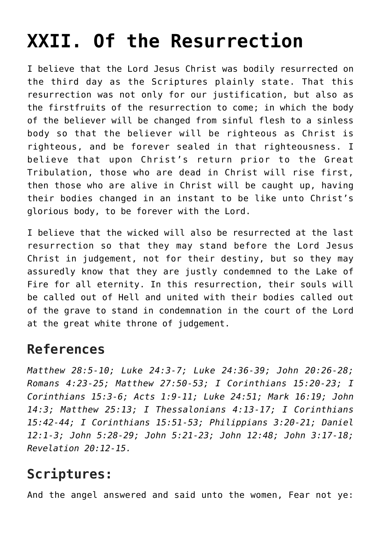## **[XXII. Of the Resurrection](https://reproachofmen.org/statement-of-faith/xxii-of-the-resurrection/)**

I believe that the Lord Jesus Christ was bodily resurrected on the third day as the Scriptures plainly state. That this resurrection was not only for our justification, but also as the firstfruits of the resurrection to come; in which the body of the believer will be changed from sinful flesh to a sinless body so that the believer will be righteous as Christ is righteous, and be forever sealed in that righteousness. I believe that upon Christ's return prior to the Great Tribulation, those who are dead in Christ will rise first, then those who are alive in Christ will be caught up, having their bodies changed in an instant to be like unto Christ's glorious body, to be forever with the Lord.

I believe that the wicked will also be resurrected at the last resurrection so that they may stand before the Lord Jesus Christ in judgement, not for their destiny, but so they may assuredly know that they are justly condemned to the Lake of Fire for all eternity. In this resurrection, their souls will be called out of Hell and united with their bodies called out of the grave to stand in condemnation in the court of the Lord at the great white throne of judgement.

## **References**

*Matthew 28:5-10; Luke 24:3-7; Luke 24:36-39; John 20:26-28; Romans 4:23-25; Matthew 27:50-53; I Corinthians 15:20-23; I Corinthians 15:3-6; Acts 1:9-11; Luke 24:51; Mark 16:19; John 14:3; Matthew 25:13; I Thessalonians 4:13-17; I Corinthians 15:42-44; I Corinthians 15:51-53; Philippians 3:20-21; Daniel 12:1-3; John 5:28-29; John 5:21-23; John 12:48; John 3:17-18; Revelation 20:12-15.*

## **Scriptures:**

And the angel answered and said unto the women, Fear not ye: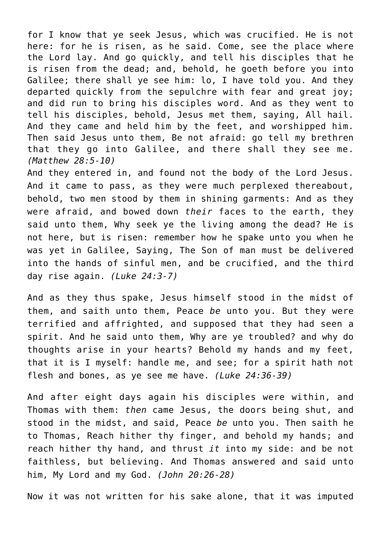for I know that ye seek Jesus, which was crucified. He is not here: for he is risen, as he said. Come, see the place where the Lord lay. And go quickly, and tell his disciples that he is risen from the dead; and, behold, he goeth before you into Galilee; there shall ye see him: lo, I have told you. And they departed quickly from the sepulchre with fear and great joy; and did run to bring his disciples word. And as they went to tell his disciples, behold, Jesus met them, saying, All hail. And they came and held him by the feet, and worshipped him. Then said Jesus unto them, Be not afraid: go tell my brethren that they go into Galilee, and there shall they see me. *(Matthew 28:5-10)*

And they entered in, and found not the body of the Lord Jesus. And it came to pass, as they were much perplexed thereabout, behold, two men stood by them in shining garments: And as they were afraid, and bowed down *their* faces to the earth, they said unto them, Why seek ye the living among the dead? He is not here, but is risen: remember how he spake unto you when he was yet in Galilee, Saying, The Son of man must be delivered into the hands of sinful men, and be crucified, and the third day rise again. *(Luke 24:3-7)*

And as they thus spake, Jesus himself stood in the midst of them, and saith unto them, Peace *be* unto you. But they were terrified and affrighted, and supposed that they had seen a spirit. And he said unto them, Why are ye troubled? and why do thoughts arise in your hearts? Behold my hands and my feet, that it is I myself: handle me, and see; for a spirit hath not flesh and bones, as ye see me have. *(Luke 24:36-39)*

And after eight days again his disciples were within, and Thomas with them: *then* came Jesus, the doors being shut, and stood in the midst, and said, Peace *be* unto you. Then saith he to Thomas, Reach hither thy finger, and behold my hands; and reach hither thy hand, and thrust *it* into my side: and be not faithless, but believing. And Thomas answered and said unto him, My Lord and my God. *(John 20:26-28)*

Now it was not written for his sake alone, that it was imputed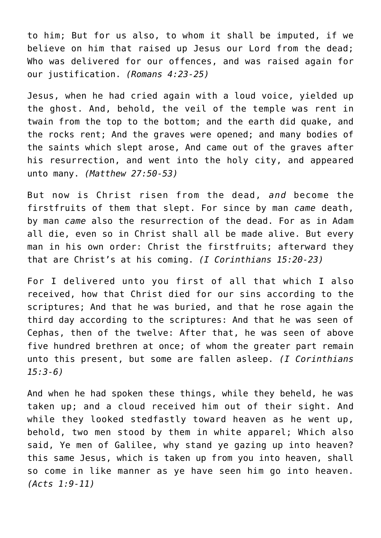to him; But for us also, to whom it shall be imputed, if we believe on him that raised up Jesus our Lord from the dead; Who was delivered for our offences, and was raised again for our justification. *(Romans 4:23-25)*

Jesus, when he had cried again with a loud voice, yielded up the ghost. And, behold, the veil of the temple was rent in twain from the top to the bottom; and the earth did quake, and the rocks rent; And the graves were opened; and many bodies of the saints which slept arose, And came out of the graves after his resurrection, and went into the holy city, and appeared unto many. *(Matthew 27:50-53)*

But now is Christ risen from the dead, *and* become the firstfruits of them that slept. For since by man *came* death, by man *came* also the resurrection of the dead. For as in Adam all die, even so in Christ shall all be made alive. But every man in his own order: Christ the firstfruits; afterward they that are Christ's at his coming. *(I Corinthians 15:20-23)*

For I delivered unto you first of all that which I also received, how that Christ died for our sins according to the scriptures; And that he was buried, and that he rose again the third day according to the scriptures: And that he was seen of Cephas, then of the twelve: After that, he was seen of above five hundred brethren at once; of whom the greater part remain unto this present, but some are fallen asleep. *(I Corinthians 15:3-6)*

And when he had spoken these things, while they beheld, he was taken up; and a cloud received him out of their sight. And while they looked stedfastly toward heaven as he went up, behold, two men stood by them in white apparel; Which also said, Ye men of Galilee, why stand ye gazing up into heaven? this same Jesus, which is taken up from you into heaven, shall so come in like manner as ye have seen him go into heaven. *(Acts 1:9-11)*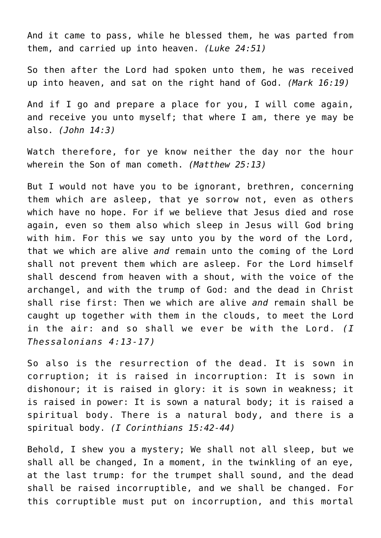And it came to pass, while he blessed them, he was parted from them, and carried up into heaven. *(Luke 24:51)*

So then after the Lord had spoken unto them, he was received up into heaven, and sat on the right hand of God. *(Mark 16:19)*

And if I go and prepare a place for you, I will come again, and receive you unto myself; that where I am, there ye may be also. *(John 14:3)*

Watch therefore, for ye know neither the day nor the hour wherein the Son of man cometh. *(Matthew 25:13)*

But I would not have you to be ignorant, brethren, concerning them which are asleep, that ye sorrow not, even as others which have no hope. For if we believe that Jesus died and rose again, even so them also which sleep in Jesus will God bring with him. For this we say unto you by the word of the Lord, that we which are alive *and* remain unto the coming of the Lord shall not prevent them which are asleep. For the Lord himself shall descend from heaven with a shout, with the voice of the archangel, and with the trump of God: and the dead in Christ shall rise first: Then we which are alive *and* remain shall be caught up together with them in the clouds, to meet the Lord in the air: and so shall we ever be with the Lord. *(I Thessalonians 4:13-17)*

So also is the resurrection of the dead. It is sown in corruption; it is raised in incorruption: It is sown in dishonour; it is raised in glory: it is sown in weakness; it is raised in power: It is sown a natural body; it is raised a spiritual body. There is a natural body, and there is a spiritual body. *(I Corinthians 15:42-44)*

Behold, I shew you a mystery; We shall not all sleep, but we shall all be changed, In a moment, in the twinkling of an eye, at the last trump: for the trumpet shall sound, and the dead shall be raised incorruptible, and we shall be changed. For this corruptible must put on incorruption, and this mortal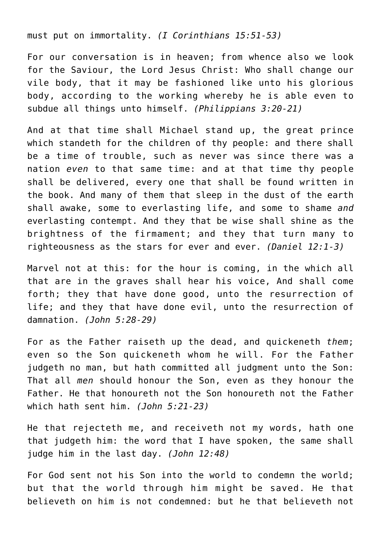must put on immortality. *(I Corinthians 15:51-53)*

For our conversation is in heaven; from whence also we look for the Saviour, the Lord Jesus Christ: Who shall change our vile body, that it may be fashioned like unto his glorious body, according to the working whereby he is able even to subdue all things unto himself. *(Philippians 3:20-21)*

And at that time shall Michael stand up, the great prince which standeth for the children of thy people: and there shall be a time of trouble, such as never was since there was a nation *even* to that same time: and at that time thy people shall be delivered, every one that shall be found written in the book. And many of them that sleep in the dust of the earth shall awake, some to everlasting life, and some to shame *and* everlasting contempt. And they that be wise shall shine as the brightness of the firmament; and they that turn many to righteousness as the stars for ever and ever. *(Daniel 12:1-3)*

Marvel not at this: for the hour is coming, in the which all that are in the graves shall hear his voice, And shall come forth; they that have done good, unto the resurrection of life; and they that have done evil, unto the resurrection of damnation. *(John 5:28-29)*

For as the Father raiseth up the dead, and quickeneth *them*; even so the Son quickeneth whom he will. For the Father judgeth no man, but hath committed all judgment unto the Son: That all *men* should honour the Son, even as they honour the Father. He that honoureth not the Son honoureth not the Father which hath sent him. *(John 5:21-23)*

He that rejecteth me, and receiveth not my words, hath one that judgeth him: the word that I have spoken, the same shall judge him in the last day. *(John 12:48)*

For God sent not his Son into the world to condemn the world; but that the world through him might be saved. He that believeth on him is not condemned: but he that believeth not